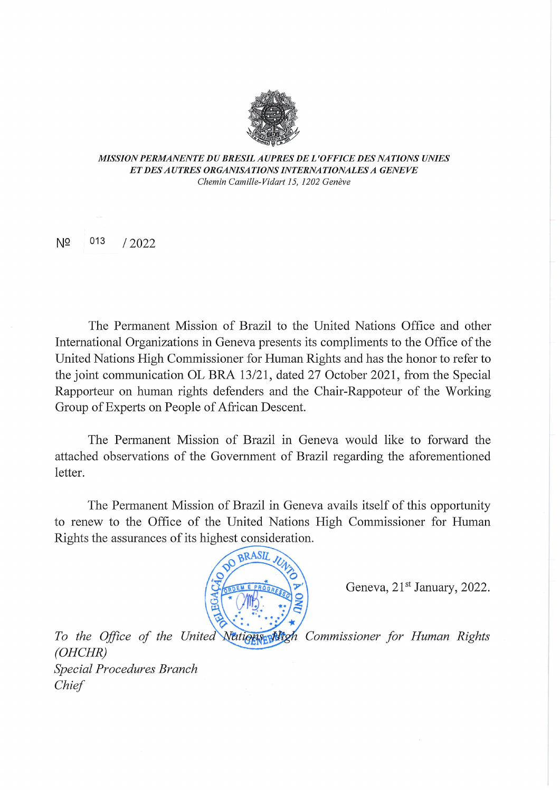

MISSION PERMANENTE DU BRESIL AUPRES DE L'OFFICE DES NATIONS UNIES ETDESAUTRES ORGANISATIONS INTERNATIONALES A GENEVE Chemin Camille-Vidart 15, 1202 Genève

 $N^{\Omega}$  013 / 2022

The Permanent Mission of Brazil to the United Nations Office and other International Organizations in Geneva presents its compliments to the Office of the United Nations High Commissioner for Human Rights and hás the honor to refer to the joint communication OL BRA 13/21, dated 27 October 2021, from the Special Rapporteur on human rights defenders and the Chair-Rappoteur of the Working Group of Experts on People of African Descent.

The Permanent Mission of Brazil in Geneva would like to forward the attached observations of the Govemment of Brazil regarding the aforementioned letter.

The Permanent Mission of Brazil in Geneva avails itself of this opportunity to renew to the Office of the United Nations High Commissioner for Human Rights the assurances of its highest consideration.



Geneva, 21<sup>st</sup> January, 2022.

To the Office of the United Nations Migh Commissioner for Human Rights (OHCHR) Special Procedures Branch Chíef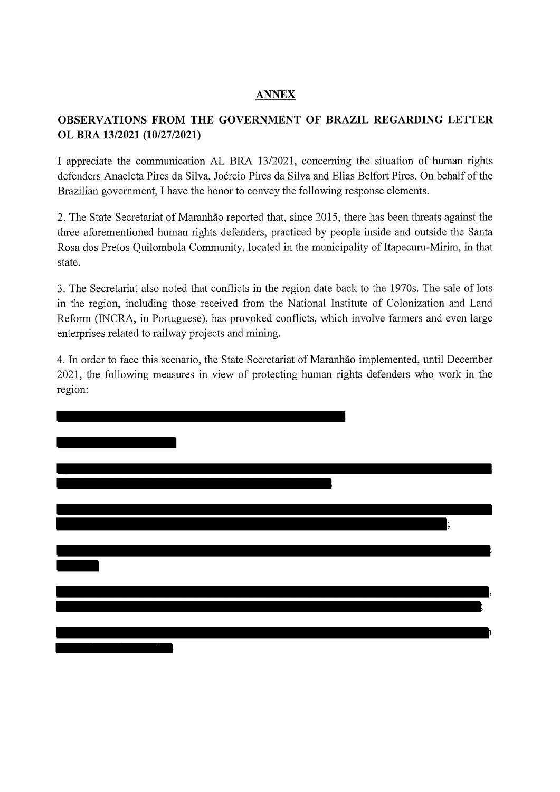## ANNEX

## OBSERVATIONS FROM THE GOVERNMENT OF BRAZIL REGARDING LETTER OL BRA 13/2021 (10/27/2021)

I appreciate the communication AL BRA 13/2021, conceming the situation of human rights defenders Anacleta Pires da Silva, Joércio Pires da Silva and Elias Belfort Pires. On behalf of the Brazilian govemment, I have the honor to convey the following response elements.

2. The State Secretariat of Maranhão reported that, since 2015, there has been threats against the three aforementioned human rights defenders, practiced by people inside and outside the Santa Rosa dos Pretos Quilombola Community, located in the municipality of Itapecuru-Mirim, in that state.

3. The Secretariat also noted that conflicts in the region date back to the 1970s. The sale of lots in the region, including those received from the National Institute of Colonization and Land Reform (INCRA, in Portuguese), has provoked conflicts, which involve farmers and even large enterprises related to railway projects and mining.

4. In order to face this scenario, the State Secretariai of Maranhão implemented, until December 2021, the following measures in view of protecting human rights defenders who work in the region: